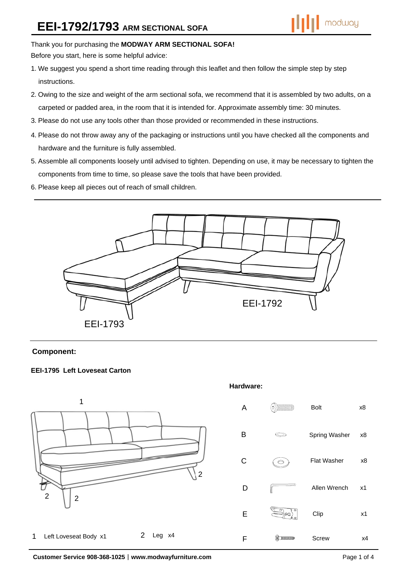# Thank you for purchasing the **MODWAY ARM SECTIONAL SOFA!**

Before you start, here is some helpful advice:

- 1.We suggest you spend a short time reading through this leaflet and then follow the simple step by step instructions.
- 2.Owing to the size and weight of the arm sectional sofa, we recommend that it is assembled by two adults, on a carpeted or padded area, in the room that it is intended for. Approximate assembly time: 30 minutes.
- 3.Please do not use any tools other than those provided or recommended in these instructions.
- 4.Please do not throw away any of the packaging or instructions until you have checked all the components and hardware and the furniture is fully assembled.
- 5.Assemble all components loosely until advised to tighten. Depending on use, it may be necessary to tighten the components from time to time, so please save the tools that have been provided.
- 6.Please keep all pieces out of reach of small children.



## **Component:**

## **EEI-1795 Left Loveseat Carton**



**Customer Service 908-368-1025**︱**www.modwayfurniture.com** Page 1 of 4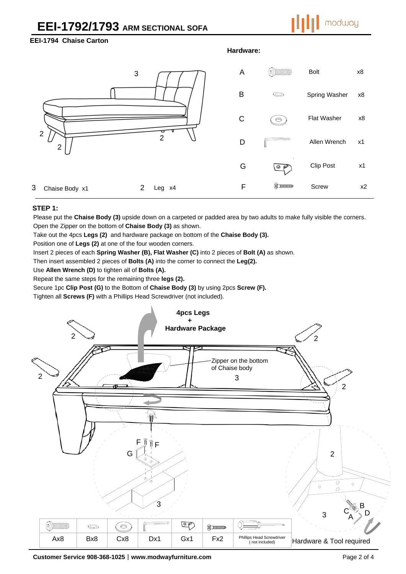# **EEI-1792/1793 ARM SECTIONAL SOFA**



## **EEI-1794 Chaise Carton**

#### **Hardware:**



#### **STEP 1:**

Please put the **Chaise Body (3)** upside down on a carpeted or padded area by two adults to make fully visible the corners.

Open the Zipper on the bottom of **Chaise Body (3)** as shown.

Take out the 4pcs **Legs (2)** and hardware package on bottom of the **Chaise Body (3).** 

Position one of **Legs (2)** at one of the four wooden corners.

Insert 2 pieces of each **Spring Washer (B), Flat Washer (C)** into 2 pieces of **Bolt (A)** as shown.

Then insert assembled 2 pieces of **Bolts (A)** into the corner to connect the **Leg(2).** 

Use **Allen Wrench (D)** to tighten all of **Bolts (A).** 

Repeat the same steps for the remaining three **legs (2).** 

Secure 1pc **Clip Post (G)** to the Bottom of **Chaise Body (3)** by using 2pcs **Screw (F).**

Tighten all **Screws (F)** with a Phillips Head Screwdriver (not included).



**Customer Service 908-368-1025**︱**www.modwayfurniture.com** Page 2 of 4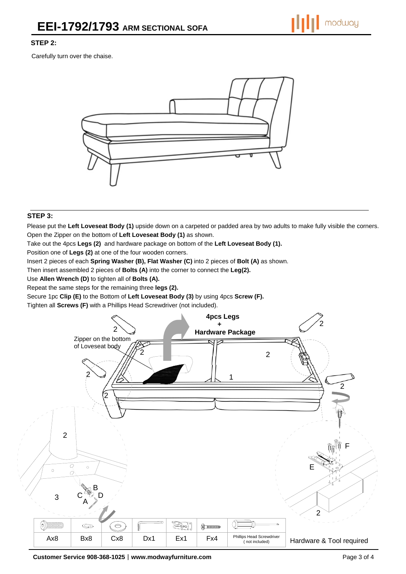## **STEP 2:**

Carefully turn over the chaise.



#### **STEP 3:**

Please put the **Left Loveseat Body (1)** upside down on a carpeted or padded area by two adults to make fully visible the corners. Open the Zipper on the bottom of **Left Loveseat Body (1)** as shown.

Take out the 4pcs **Legs (2)** and hardware package on bottom of the **Left Loveseat Body (1).** 

Position one of **Legs (2)** at one of the four wooden corners.

Insert 2 pieces of each **Spring Washer (B), Flat Washer (C)** into 2 pieces of **Bolt (A)** as shown.

Then insert assembled 2 pieces of **Bolts (A)** into the corner to connect the **Leg(2).** 

Use **Allen Wrench (D)** to tighten all of **Bolts (A).** 

Repeat the same steps for the remaining three **legs (2).** 

Secure 1pc **Clip (E)** to the Bottom of **Left Loveseat Body (3)** by using 4pcs **Screw (F).**

Tighten all **Screws (F)** with a Phillips Head Screwdriver (not included).



**Customer Service 908-368-1025**︱**www.modwayfurniture.com** Page 3 of 4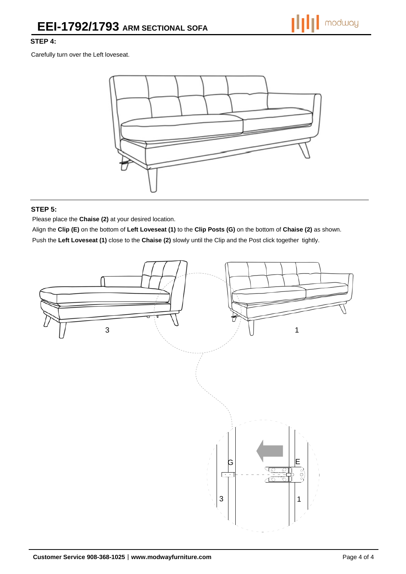# **STEP 4:**

Carefully turn over the Left loveseat.



## **STEP 5:**

Please place the **Chaise (2)** at your desired location.

Align the **Clip (E)** on the bottom of **Left Loveseat (1)** to the **Clip Posts (G)** on the bottom of **Chaise (2)** as shown. Push the **Left Loveseat (1)** close to the **Chaise (2)** slowly until the Clip and the Post click together tightly.